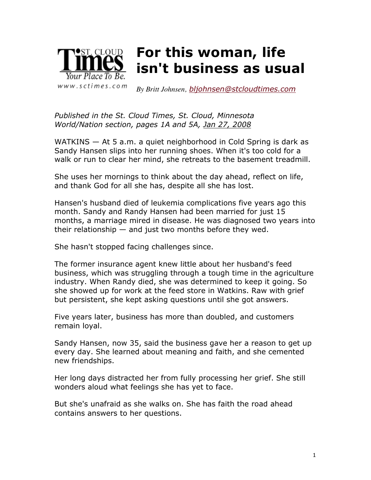

*By Britt Johnsen, bljohnsen@stcloudtimes.com*

*Published in the St. Cloud Times, St. Cloud, Minnesota World/Nation section, pages 1A and 5A, Jan 27, 2008*

WATKINS — At 5 a.m. a quiet neighborhood in Cold Spring is dark as Sandy Hansen slips into her running shoes. When it's too cold for a walk or run to clear her mind, she retreats to the basement treadmill.

She uses her mornings to think about the day ahead, reflect on life, and thank God for all she has, despite all she has lost.

Hansen's husband died of leukemia complications five years ago this month. Sandy and Randy Hansen had been married for just 15 months, a marriage mired in disease. He was diagnosed two years into their relationship  $-$  and just two months before they wed.

She hasn't stopped facing challenges since.

The former insurance agent knew little about her husband's feed business, which was struggling through a tough time in the agriculture industry. When Randy died, she was determined to keep it going. So she showed up for work at the feed store in Watkins. Raw with grief but persistent, she kept asking questions until she got answers.

Five years later, business has more than doubled, and customers remain loyal.

Sandy Hansen, now 35, said the business gave her a reason to get up every day. She learned about meaning and faith, and she cemented new friendships.

Her long days distracted her from fully processing her grief. She still wonders aloud what feelings she has yet to face.

But she's unafraid as she walks on. She has faith the road ahead contains answers to her questions.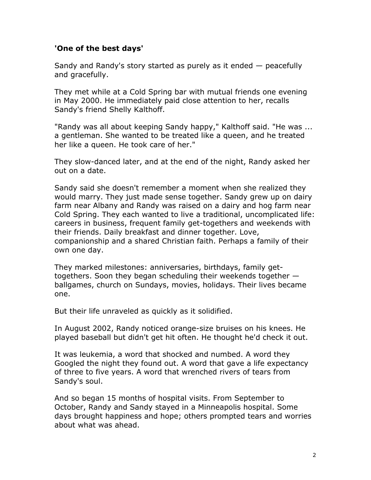### **'One of the best days'**

Sandy and Randy's story started as purely as it ended — peacefully and gracefully.

They met while at a Cold Spring bar with mutual friends one evening in May 2000. He immediately paid close attention to her, recalls Sandy's friend Shelly Kalthoff.

"Randy was all about keeping Sandy happy," Kalthoff said. "He was ... a gentleman. She wanted to be treated like a queen, and he treated her like a queen. He took care of her."

They slow-danced later, and at the end of the night, Randy asked her out on a date.

Sandy said she doesn't remember a moment when she realized they would marry. They just made sense together. Sandy grew up on dairy farm near Albany and Randy was raised on a dairy and hog farm near Cold Spring. They each wanted to live a traditional, uncomplicated life: careers in business, frequent family get-togethers and weekends with their friends. Daily breakfast and dinner together. Love, companionship and a shared Christian faith. Perhaps a family of their own one day.

They marked milestones: anniversaries, birthdays, family gettogethers. Soon they began scheduling their weekends together ballgames, church on Sundays, movies, holidays. Their lives became one.

But their life unraveled as quickly as it solidified.

In August 2002, Randy noticed orange-size bruises on his knees. He played baseball but didn't get hit often. He thought he'd check it out.

It was leukemia, a word that shocked and numbed. A word they Googled the night they found out. A word that gave a life expectancy of three to five years. A word that wrenched rivers of tears from Sandy's soul.

And so began 15 months of hospital visits. From September to October, Randy and Sandy stayed in a Minneapolis hospital. Some days brought happiness and hope; others prompted tears and worries about what was ahead.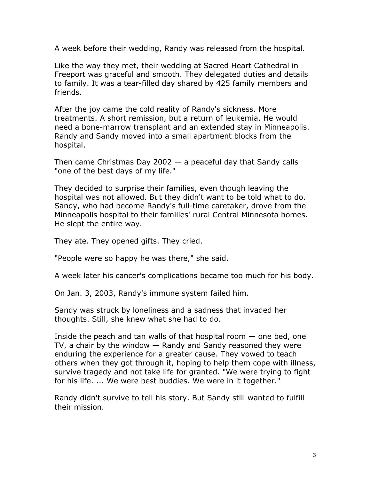A week before their wedding, Randy was released from the hospital.

Like the way they met, their wedding at Sacred Heart Cathedral in Freeport was graceful and smooth. They delegated duties and details to family. It was a tear-filled day shared by 425 family members and friends.

After the joy came the cold reality of Randy's sickness. More treatments. A short remission, but a return of leukemia. He would need a bone-marrow transplant and an extended stay in Minneapolis. Randy and Sandy moved into a small apartment blocks from the hospital.

Then came Christmas Day  $2002 - a$  peaceful day that Sandy calls "one of the best days of my life."

They decided to surprise their families, even though leaving the hospital was not allowed. But they didn't want to be told what to do. Sandy, who had become Randy's full-time caretaker, drove from the Minneapolis hospital to their families' rural Central Minnesota homes. He slept the entire way.

They ate. They opened gifts. They cried.

"People were so happy he was there," she said.

A week later his cancer's complications became too much for his body.

On Jan. 3, 2003, Randy's immune system failed him.

Sandy was struck by loneliness and a sadness that invaded her thoughts. Still, she knew what she had to do.

Inside the peach and tan walls of that hospital room  $-$  one bed, one TV, a chair by the window — Randy and Sandy reasoned they were enduring the experience for a greater cause. They vowed to teach others when they got through it, hoping to help them cope with illness, survive tragedy and not take life for granted. "We were trying to fight for his life. ... We were best buddies. We were in it together."

Randy didn't survive to tell his story. But Sandy still wanted to fulfill their mission.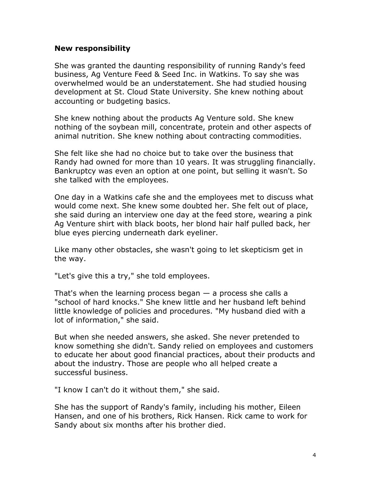#### **New responsibility**

She was granted the daunting responsibility of running Randy's feed business, Ag Venture Feed & Seed Inc. in Watkins. To say she was overwhelmed would be an understatement. She had studied housing development at St. Cloud State University. She knew nothing about accounting or budgeting basics.

She knew nothing about the products Ag Venture sold. She knew nothing of the soybean mill, concentrate, protein and other aspects of animal nutrition. She knew nothing about contracting commodities.

She felt like she had no choice but to take over the business that Randy had owned for more than 10 years. It was struggling financially. Bankruptcy was even an option at one point, but selling it wasn't. So she talked with the employees.

One day in a Watkins cafe she and the employees met to discuss what would come next. She knew some doubted her. She felt out of place, she said during an interview one day at the feed store, wearing a pink Ag Venture shirt with black boots, her blond hair half pulled back, her blue eyes piercing underneath dark eyeliner.

Like many other obstacles, she wasn't going to let skepticism get in the way.

"Let's give this a try," she told employees.

That's when the learning process began  $-$  a process she calls a "school of hard knocks." She knew little and her husband left behind little knowledge of policies and procedures. "My husband died with a lot of information," she said.

But when she needed answers, she asked. She never pretended to know something she didn't. Sandy relied on employees and customers to educate her about good financial practices, about their products and about the industry. Those are people who all helped create a successful business.

"I know I can't do it without them," she said.

She has the support of Randy's family, including his mother, Eileen Hansen, and one of his brothers, Rick Hansen. Rick came to work for Sandy about six months after his brother died.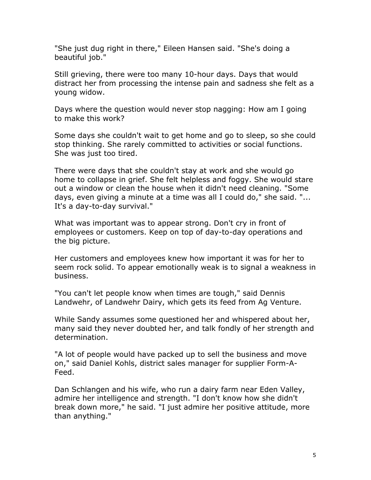"She just dug right in there," Eileen Hansen said. "She's doing a beautiful job."

Still grieving, there were too many 10-hour days. Days that would distract her from processing the intense pain and sadness she felt as a young widow.

Days where the question would never stop nagging: How am I going to make this work?

Some days she couldn't wait to get home and go to sleep, so she could stop thinking. She rarely committed to activities or social functions. She was just too tired.

There were days that she couldn't stay at work and she would go home to collapse in grief. She felt helpless and foggy. She would stare out a window or clean the house when it didn't need cleaning. "Some days, even giving a minute at a time was all I could do," she said. "... It's a day-to-day survival."

What was important was to appear strong. Don't cry in front of employees or customers. Keep on top of day-to-day operations and the big picture.

Her customers and employees knew how important it was for her to seem rock solid. To appear emotionally weak is to signal a weakness in business.

"You can't let people know when times are tough," said Dennis Landwehr, of Landwehr Dairy, which gets its feed from Ag Venture.

While Sandy assumes some questioned her and whispered about her, many said they never doubted her, and talk fondly of her strength and determination.

"A lot of people would have packed up to sell the business and move on," said Daniel Kohls, district sales manager for supplier Form-A-Feed.

Dan Schlangen and his wife, who run a dairy farm near Eden Valley, admire her intelligence and strength. "I don't know how she didn't break down more," he said. "I just admire her positive attitude, more than anything."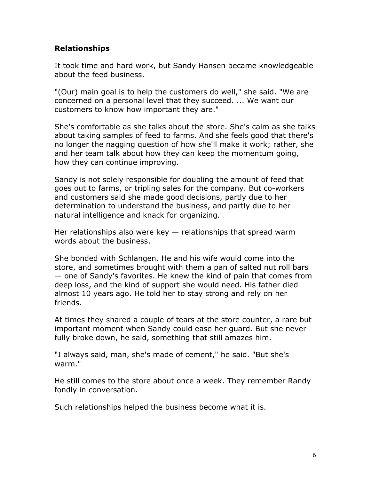# **Relationships**

It took time and hard work, but Sandy Hansen became knowledgeable about the feed business.

"(Our) main goal is to help the customers do well," she said. "We are concerned on a personal level that they succeed. ... We want our customers to know how important they are."

She's comfortable as she talks about the store. She's calm as she talks about taking samples of feed to farms. And she feels good that there's no longer the nagging question of how she'll make it work; rather, she and her team talk about how they can keep the momentum going, how they can continue improving.

Sandy is not solely responsible for doubling the amount of feed that goes out to farms, or tripling sales for the company. But co-workers and customers said she made good decisions, partly due to her determination to understand the business, and partly due to her natural intelligence and knack for organizing.

Her relationships also were key  $-$  relationships that spread warm words about the business.

She bonded with Schlangen. He and his wife would come into the store, and sometimes brought with them a pan of salted nut roll bars — one of Sandy's favorites. He knew the kind of pain that comes from deep loss, and the kind of support she would need. His father died almost 10 years ago. He told her to stay strong and rely on her friends.

At times they shared a couple of tears at the store counter, a rare but important moment when Sandy could ease her guard. But she never fully broke down, he said, something that still amazes him.

"I always said, man, she's made of cement," he said. "But she's warm."

He still comes to the store about once a week. They remember Randy fondly in conversation.

Such relationships helped the business become what it is.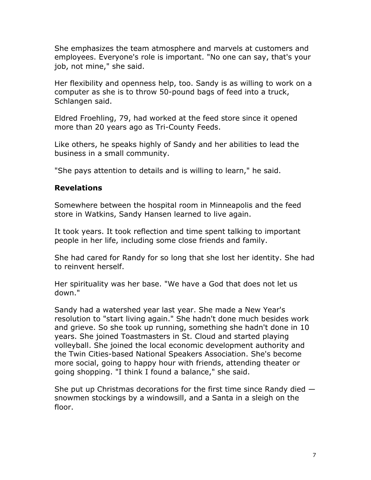She emphasizes the team atmosphere and marvels at customers and employees. Everyone's role is important. "No one can say, that's your job, not mine," she said.

Her flexibility and openness help, too. Sandy is as willing to work on a computer as she is to throw 50-pound bags of feed into a truck, Schlangen said.

Eldred Froehling, 79, had worked at the feed store since it opened more than 20 years ago as Tri-County Feeds.

Like others, he speaks highly of Sandy and her abilities to lead the business in a small community.

"She pays attention to details and is willing to learn," he said.

# **Revelations**

Somewhere between the hospital room in Minneapolis and the feed store in Watkins, Sandy Hansen learned to live again.

It took years. It took reflection and time spent talking to important people in her life, including some close friends and family.

She had cared for Randy for so long that she lost her identity. She had to reinvent herself.

Her spirituality was her base. "We have a God that does not let us down."

Sandy had a watershed year last year. She made a New Year's resolution to "start living again." She hadn't done much besides work and grieve. So she took up running, something she hadn't done in 10 years. She joined Toastmasters in St. Cloud and started playing volleyball. She joined the local economic development authority and the Twin Cities-based National Speakers Association. She's become more social, going to happy hour with friends, attending theater or going shopping. "I think I found a balance," she said.

She put up Christmas decorations for the first time since Randy died snowmen stockings by a windowsill, and a Santa in a sleigh on the floor.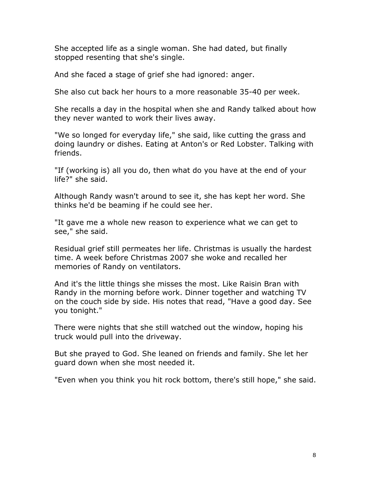She accepted life as a single woman. She had dated, but finally stopped resenting that she's single.

And she faced a stage of grief she had ignored: anger.

She also cut back her hours to a more reasonable 35-40 per week.

She recalls a day in the hospital when she and Randy talked about how they never wanted to work their lives away.

"We so longed for everyday life," she said, like cutting the grass and doing laundry or dishes. Eating at Anton's or Red Lobster. Talking with friends.

"If (working is) all you do, then what do you have at the end of your life?" she said.

Although Randy wasn't around to see it, she has kept her word. She thinks he'd be beaming if he could see her.

"It gave me a whole new reason to experience what we can get to see," she said.

Residual grief still permeates her life. Christmas is usually the hardest time. A week before Christmas 2007 she woke and recalled her memories of Randy on ventilators.

And it's the little things she misses the most. Like Raisin Bran with Randy in the morning before work. Dinner together and watching TV on the couch side by side. His notes that read, "Have a good day. See you tonight."

There were nights that she still watched out the window, hoping his truck would pull into the driveway.

But she prayed to God. She leaned on friends and family. She let her guard down when she most needed it.

"Even when you think you hit rock bottom, there's still hope," she said.